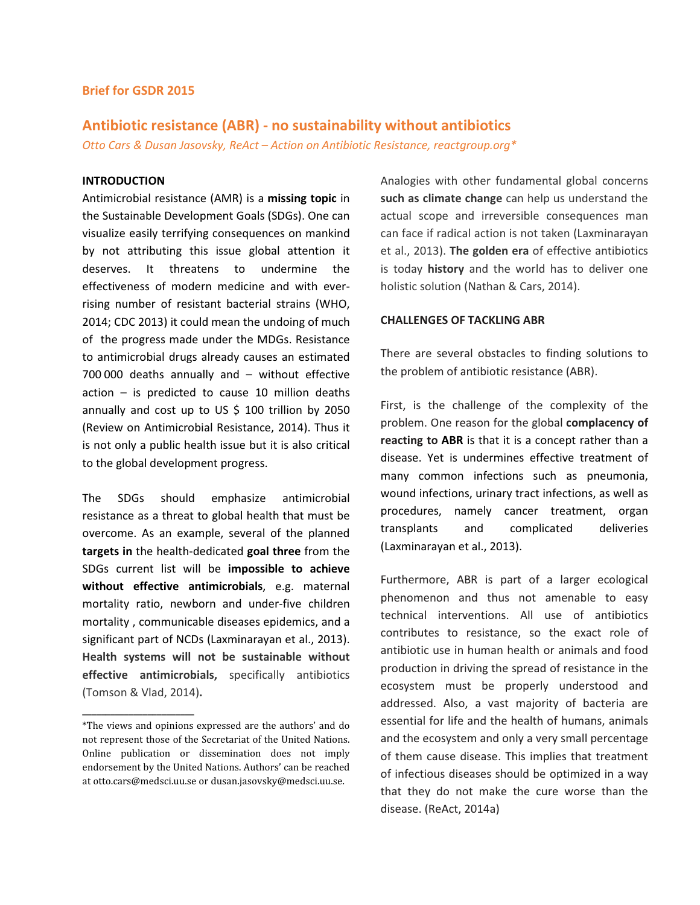### Brief for GSDR 2015

# Antibiotic resistance (ABR) - no sustainability without antibiotics

Otto Cars & Dusan Jasovsky, ReAct – Action on Antibiotic Resistance, reactgroup.org\*

# INTRODUCTION

Antimicrobial resistance (AMR) is a missing topic in the Sustainable Development Goals (SDGs). One can visualize easily terrifying consequences on mankind by not attributing this issue global attention it deserves. It threatens to undermine the effectiveness of modern medicine and with everrising number of resistant bacterial strains (WHO, 2014; CDC 2013) it could mean the undoing of much of the progress made under the MDGs. Resistance to antimicrobial drugs already causes an estimated 700 000 deaths annually and – without effective action – is predicted to cause 10 million deaths annually and cost up to US  $$$  100 trillion by 2050 (Review on Antimicrobial Resistance, 2014). Thus it is not only a public health issue but it is also critical to the global development progress.

The SDGs should emphasize antimicrobial resistance as a threat to global health that must be overcome. As an example, several of the planned targets in the health-dedicated goal three from the SDGs current list will be impossible to achieve without effective antimicrobials, e.g. maternal mortality ratio, newborn and under-five children mortality , communicable diseases epidemics, and a significant part of NCDs (Laxminarayan et al., 2013). Health systems will not be sustainable without effective antimicrobials, specifically antibiotics (Tomson & Vlad, 2014).

Analogies with other fundamental global concerns such as climate change can help us understand the actual scope and irreversible consequences man can face if radical action is not taken (Laxminarayan et al., 2013). The golden era of effective antibiotics is today history and the world has to deliver one holistic solution (Nathan & Cars, 2014).

#### CHALLENGES OF TACKLING ABR

There are several obstacles to finding solutions to the problem of antibiotic resistance (ABR).

First, is the challenge of the complexity of the problem. One reason for the global complacency of reacting to ABR is that it is a concept rather than a disease. Yet is undermines effective treatment of many common infections such as pneumonia, wound infections, urinary tract infections, as well as procedures, namely cancer treatment, organ transplants and complicated deliveries (Laxminarayan et al., 2013).

Furthermore, ABR is part of a larger ecological phenomenon and thus not amenable to easy technical interventions. All use of antibiotics contributes to resistance, so the exact role of antibiotic use in human health or animals and food production in driving the spread of resistance in the ecosystem must be properly understood and addressed. Also, a vast majority of bacteria are essential for life and the health of humans, animals and the ecosystem and only a very small percentage of them cause disease. This implies that treatment of infectious diseases should be optimized in a way that they do not make the cure worse than the disease. (ReAct, 2014a)

<sup>————————————————————&</sup>lt;br>\*The views and opinions expressed are the authors' and do not represent those of the Secretariat of the United Nations. Online publication or dissemination does not imply endorsement by the United Nations. Authors' can be reached at otto.cars@medsci.uu.se or dusan.jasovsky@medsci.uu.se.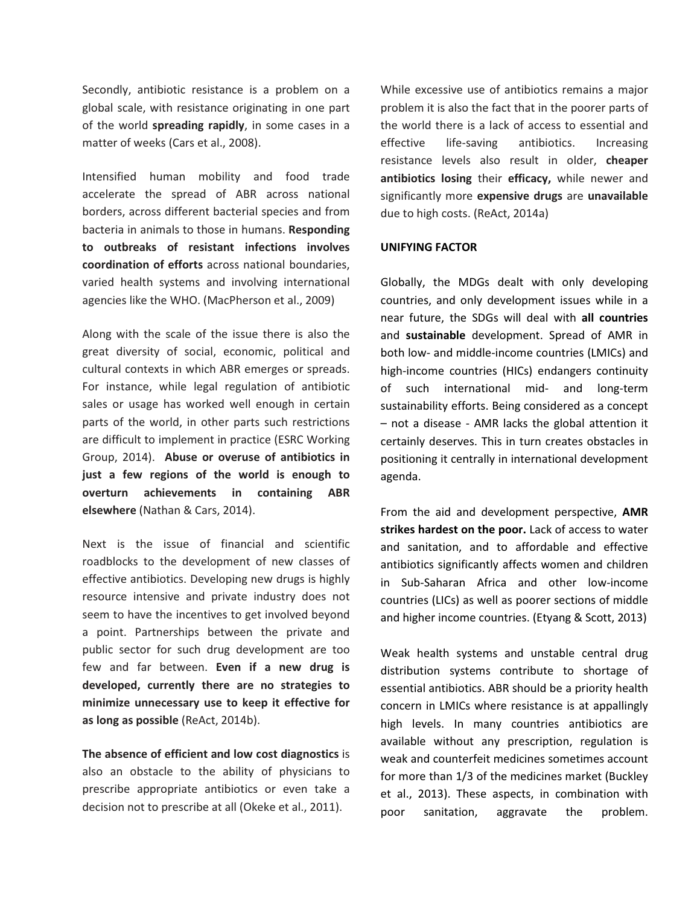Secondly, antibiotic resistance is a problem on a global scale, with resistance originating in one part of the world spreading rapidly, in some cases in a matter of weeks (Cars et al., 2008).

Intensified human mobility and food trade accelerate the spread of ABR across national borders, across different bacterial species and from bacteria in animals to those in humans. Responding to outbreaks of resistant infections involves coordination of efforts across national boundaries, varied health systems and involving international agencies like the WHO. (MacPherson et al., 2009)

Along with the scale of the issue there is also the great diversity of social, economic, political and cultural contexts in which ABR emerges or spreads. For instance, while legal regulation of antibiotic sales or usage has worked well enough in certain parts of the world, in other parts such restrictions are difficult to implement in practice (ESRC Working Group, 2014). Abuse or overuse of antibiotics in just a few regions of the world is enough to overturn achievements in containing ABR elsewhere (Nathan & Cars, 2014).

Next is the issue of financial and scientific roadblocks to the development of new classes of effective antibiotics. Developing new drugs is highly resource intensive and private industry does not seem to have the incentives to get involved beyond a point. Partnerships between the private and public sector for such drug development are too few and far between. Even if a new drug is developed, currently there are no strategies to minimize unnecessary use to keep it effective for as long as possible (ReAct, 2014b).

The absence of efficient and low cost diagnostics is also an obstacle to the ability of physicians to prescribe appropriate antibiotics or even take a decision not to prescribe at all (Okeke et al., 2011).

While excessive use of antibiotics remains a major problem it is also the fact that in the poorer parts of the world there is a lack of access to essential and effective life-saving antibiotics. Increasing resistance levels also result in older, cheaper antibiotics losing their efficacy, while newer and significantly more expensive drugs are unavailable due to high costs. (ReAct, 2014a)

### UNIFYING FACTOR

Globally, the MDGs dealt with only developing countries, and only development issues while in a near future, the SDGs will deal with all countries and sustainable development. Spread of AMR in both low- and middle-income countries (LMICs) and high-income countries (HICs) endangers continuity of such international mid- and long-term sustainability efforts. Being considered as a concept – not a disease - AMR lacks the global attention it certainly deserves. This in turn creates obstacles in positioning it centrally in international development agenda.

From the aid and development perspective, AMR strikes hardest on the poor. Lack of access to water and sanitation, and to affordable and effective antibiotics significantly affects women and children in Sub-Saharan Africa and other low-income countries (LICs) as well as poorer sections of middle and higher income countries. (Etyang & Scott, 2013)

Weak health systems and unstable central drug distribution systems contribute to shortage of essential antibiotics. ABR should be a priority health concern in LMICs where resistance is at appallingly high levels. In many countries antibiotics are available without any prescription, regulation is weak and counterfeit medicines sometimes account for more than 1/3 of the medicines market (Buckley et al., 2013). These aspects, in combination with poor sanitation, aggravate the problem.